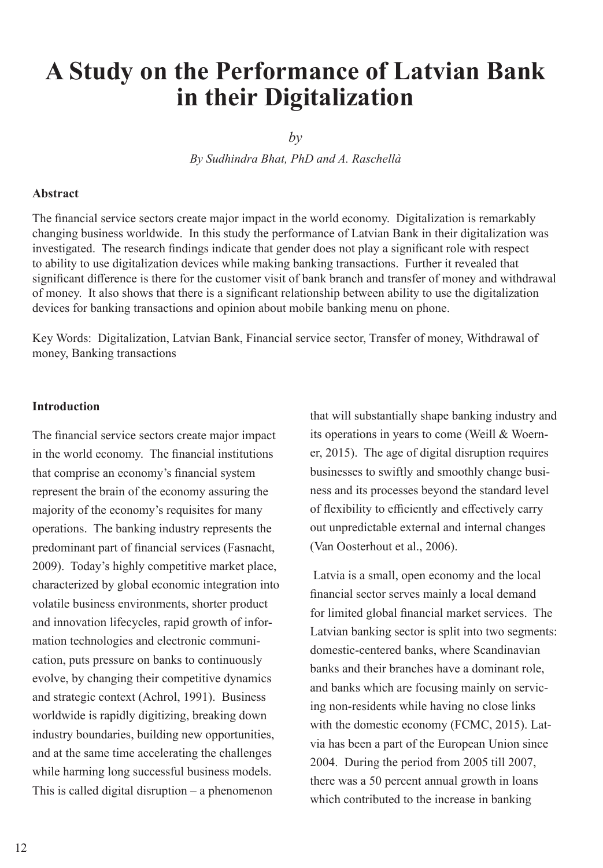# **A Study on the Performance of Latvian Bank in their Digitalization**

*by*

*By Sudhindra Bhat, PhD and A. Raschellà*

#### **Abstract**

The financial service sectors create major impact in the world economy. Digitalization is remarkably changing business worldwide. In this study the performance of Latvian Bank in their digitalization was investigated. The research findings indicate that gender does not play a significant role with respect to ability to use digitalization devices while making banking transactions. Further it revealed that significant difference is there for the customer visit of bank branch and transfer of money and withdrawal of money. It also shows that there is a significant relationship between ability to use the digitalization devices for banking transactions and opinion about mobile banking menu on phone.

Key Words: Digitalization, Latvian Bank, Financial service sector, Transfer of money, Withdrawal of money, Banking transactions

## **Introduction**

The financial service sectors create major impact in the world economy. The financial institutions that comprise an economy's financial system represent the brain of the economy assuring the majority of the economy's requisites for many operations. The banking industry represents the predominant part of financial services (Fasnacht, 2009). Today's highly competitive market place, characterized by global economic integration into volatile business environments, shorter product and innovation lifecycles, rapid growth of information technologies and electronic communication, puts pressure on banks to continuously evolve, by changing their competitive dynamics and strategic context (Achrol, 1991). Business worldwide is rapidly digitizing, breaking down industry boundaries, building new opportunities, and at the same time accelerating the challenges while harming long successful business models. This is called digital disruption  $-$  a phenomenon

that will substantially shape banking industry and its operations in years to come (Weill & Woerner, 2015). The age of digital disruption requires businesses to swiftly and smoothly change business and its processes beyond the standard level of flexibility to efficiently and effectively carry out unpredictable external and internal changes (Van Oosterhout et al., 2006).

 Latvia is a small, open economy and the local financial sector serves mainly a local demand for limited global financial market services. The Latvian banking sector is split into two segments: domestic-centered banks, where Scandinavian banks and their branches have a dominant role, and banks which are focusing mainly on servicing non-residents while having no close links with the domestic economy (FCMC, 2015). Latvia has been a part of the European Union since 2004. During the period from 2005 till 2007, there was a 50 percent annual growth in loans which contributed to the increase in banking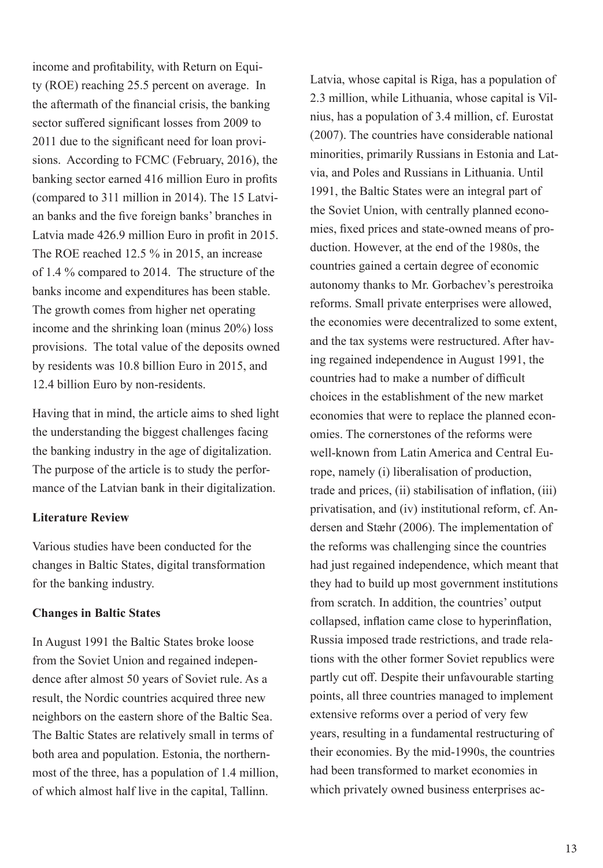income and profitability, with Return on Equity (ROE) reaching 25.5 percent on average. In the aftermath of the financial crisis, the banking sector suffered significant losses from 2009 to 2011 due to the significant need for loan provisions. According to FCMC (February, 2016), the banking sector earned 416 million Euro in profits (compared to 311 million in 2014). The 15 Latvian banks and the five foreign banks' branches in Latvia made 426.9 million Euro in profit in 2015. The ROE reached 12.5 % in 2015, an increase of 1.4 % compared to 2014. The structure of the banks income and expenditures has been stable. The growth comes from higher net operating income and the shrinking loan (minus 20%) loss provisions. The total value of the deposits owned by residents was 10.8 billion Euro in 2015, and 12.4 billion Euro by non-residents.

Having that in mind, the article aims to shed light the understanding the biggest challenges facing the banking industry in the age of digitalization. The purpose of the article is to study the performance of the Latvian bank in their digitalization.

## **Literature Review**

Various studies have been conducted for the changes in Baltic States, digital transformation for the banking industry.

## **Changes in Baltic States**

In August 1991 the Baltic States broke loose from the Soviet Union and regained independence after almost 50 years of Soviet rule. As a result, the Nordic countries acquired three new neighbors on the eastern shore of the Baltic Sea. The Baltic States are relatively small in terms of both area and population. Estonia, the northernmost of the three, has a population of 1.4 million, of which almost half live in the capital, Tallinn.

Latvia, whose capital is Riga, has a population of 2.3 million, while Lithuania, whose capital is Vilnius, has a population of 3.4 million, cf. Eurostat (2007). The countries have considerable national minorities, primarily Russians in Estonia and Latvia, and Poles and Russians in Lithuania. Until 1991, the Baltic States were an integral part of the Soviet Union, with centrally planned economies, fixed prices and state-owned means of production. However, at the end of the 1980s, the countries gained a certain degree of economic autonomy thanks to Mr. Gorbachev's perestroika reforms. Small private enterprises were allowed, the economies were decentralized to some extent, and the tax systems were restructured. After having regained independence in August 1991, the countries had to make a number of difficult choices in the establishment of the new market economies that were to replace the planned economies. The cornerstones of the reforms were well-known from Latin America and Central Europe, namely (i) liberalisation of production, trade and prices, (ii) stabilisation of inflation, (iii) privatisation, and (iv) institutional reform, cf. Andersen and Stæhr (2006). The implementation of the reforms was challenging since the countries had just regained independence, which meant that they had to build up most government institutions from scratch. In addition, the countries' output collapsed, inflation came close to hyperinflation, Russia imposed trade restrictions, and trade relations with the other former Soviet republics were partly cut off. Despite their unfavourable starting points, all three countries managed to implement extensive reforms over a period of very few years, resulting in a fundamental restructuring of their economies. By the mid-1990s, the countries had been transformed to market economies in which privately owned business enterprises ac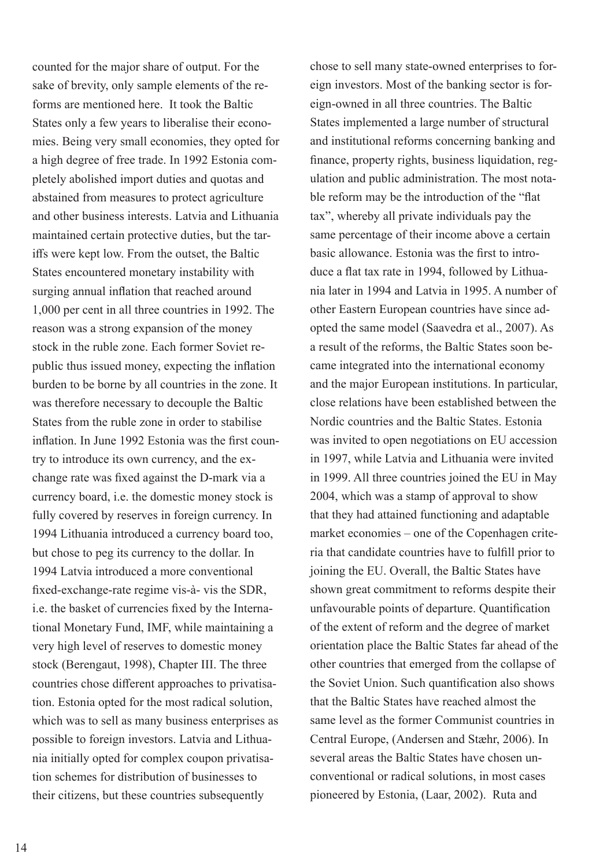counted for the major share of output. For the sake of brevity, only sample elements of the reforms are mentioned here. It took the Baltic States only a few years to liberalise their economies. Being very small economies, they opted for a high degree of free trade. In 1992 Estonia completely abolished import duties and quotas and abstained from measures to protect agriculture and other business interests. Latvia and Lithuania maintained certain protective duties, but the tariffs were kept low. From the outset, the Baltic States encountered monetary instability with surging annual inflation that reached around 1,000 per cent in all three countries in 1992. The reason was a strong expansion of the money stock in the ruble zone. Each former Soviet republic thus issued money, expecting the inflation burden to be borne by all countries in the zone. It was therefore necessary to decouple the Baltic States from the ruble zone in order to stabilise inflation. In June 1992 Estonia was the first country to introduce its own currency, and the exchange rate was fixed against the D-mark via a currency board, i.e. the domestic money stock is fully covered by reserves in foreign currency. In 1994 Lithuania introduced a currency board too, but chose to peg its currency to the dollar. In 1994 Latvia introduced a more conventional fixed-exchange-rate regime vis-à- vis the SDR, i.e. the basket of currencies fixed by the International Monetary Fund, IMF, while maintaining a very high level of reserves to domestic money stock (Berengaut, 1998), Chapter III. The three countries chose different approaches to privatisation. Estonia opted for the most radical solution, which was to sell as many business enterprises as possible to foreign investors. Latvia and Lithuania initially opted for complex coupon privatisation schemes for distribution of businesses to their citizens, but these countries subsequently

chose to sell many state-owned enterprises to foreign investors. Most of the banking sector is foreign-owned in all three countries. The Baltic States implemented a large number of structural and institutional reforms concerning banking and finance, property rights, business liquidation, regulation and public administration. The most notable reform may be the introduction of the "flat tax", whereby all private individuals pay the same percentage of their income above a certain basic allowance. Estonia was the first to introduce a flat tax rate in 1994, followed by Lithuania later in 1994 and Latvia in 1995. A number of other Eastern European countries have since adopted the same model (Saavedra et al., 2007). As a result of the reforms, the Baltic States soon became integrated into the international economy and the major European institutions. In particular, close relations have been established between the Nordic countries and the Baltic States. Estonia was invited to open negotiations on EU accession in 1997, while Latvia and Lithuania were invited in 1999. All three countries joined the EU in May 2004, which was a stamp of approval to show that they had attained functioning and adaptable market economies – one of the Copenhagen criteria that candidate countries have to fulfill prior to joining the EU. Overall, the Baltic States have shown great commitment to reforms despite their unfavourable points of departure. Quantification of the extent of reform and the degree of market orientation place the Baltic States far ahead of the other countries that emerged from the collapse of the Soviet Union. Such quantification also shows that the Baltic States have reached almost the same level as the former Communist countries in Central Europe, (Andersen and Stæhr, 2006). In several areas the Baltic States have chosen unconventional or radical solutions, in most cases pioneered by Estonia, (Laar, 2002). Ruta and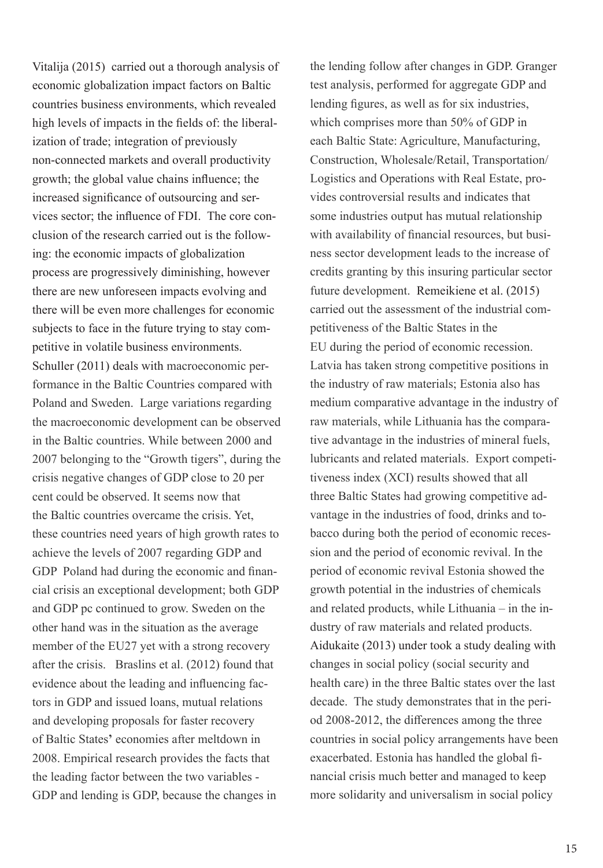Vitalija (2015) carried out a thorough analysis of economic globalization impact factors on Baltic countries business environments, which revealed high levels of impacts in the fields of: the liberalization of trade; integration of previously non-connected markets and overall productivity growth; the global value chains influence; the increased significance of outsourcing and services sector; the influence of FDI. The core conclusion of the research carried out is the following: the economic impacts of globalization process are progressively diminishing, however there are new unforeseen impacts evolving and there will be even more challenges for economic subjects to face in the future trying to stay competitive in volatile business environments. Schuller (2011) deals with macroeconomic performance in the Baltic Countries compared with Poland and Sweden. Large variations regarding the macroeconomic development can be observed in the Baltic countries. While between 2000 and 2007 belonging to the "Growth tigers", during the crisis negative changes of GDP close to 20 per cent could be observed. It seems now that the Baltic countries overcame the crisis. Yet, these countries need years of high growth rates to achieve the levels of 2007 regarding GDP and GDP Poland had during the economic and financial crisis an exceptional development; both GDP and GDP pc continued to grow. Sweden on the other hand was in the situation as the average member of the EU27 yet with a strong recovery after the crisis. Braslins et al. (2012) found that evidence about the leading and influencing factors in GDP and issued loans, mutual relations and developing proposals for faster recovery of Baltic States**'** economies after meltdown in 2008. Empirical research provides the facts that the leading factor between the two variables - GDP and lending is GDP, because the changes in

the lending follow after changes in GDP. Granger test analysis, performed for aggregate GDP and lending figures, as well as for six industries, which comprises more than 50% of GDP in each Baltic State: Agriculture, Manufacturing, Construction, Wholesale/Retail, Transportation/ Logistics and Operations with Real Estate, provides controversial results and indicates that some industries output has mutual relationship with availability of financial resources, but business sector development leads to the increase of credits granting by this insuring particular sector future development. Remeikiene et al. (2015) carried out the assessment of the industrial competitiveness of the Baltic States in the EU during the period of economic recession. Latvia has taken strong competitive positions in the industry of raw materials; Estonia also has medium comparative advantage in the industry of raw materials, while Lithuania has the comparative advantage in the industries of mineral fuels, lubricants and related materials. Export competitiveness index (XCI) results showed that all three Baltic States had growing competitive advantage in the industries of food, drinks and tobacco during both the period of economic recession and the period of economic revival. In the period of economic revival Estonia showed the growth potential in the industries of chemicals and related products, while Lithuania – in the industry of raw materials and related products. Aidukaite (2013) under took a study dealing with changes in social policy (social security and health care) in the three Baltic states over the last decade. The study demonstrates that in the period 2008-2012, the differences among the three countries in social policy arrangements have been exacerbated. Estonia has handled the global financial crisis much better and managed to keep more solidarity and universalism in social policy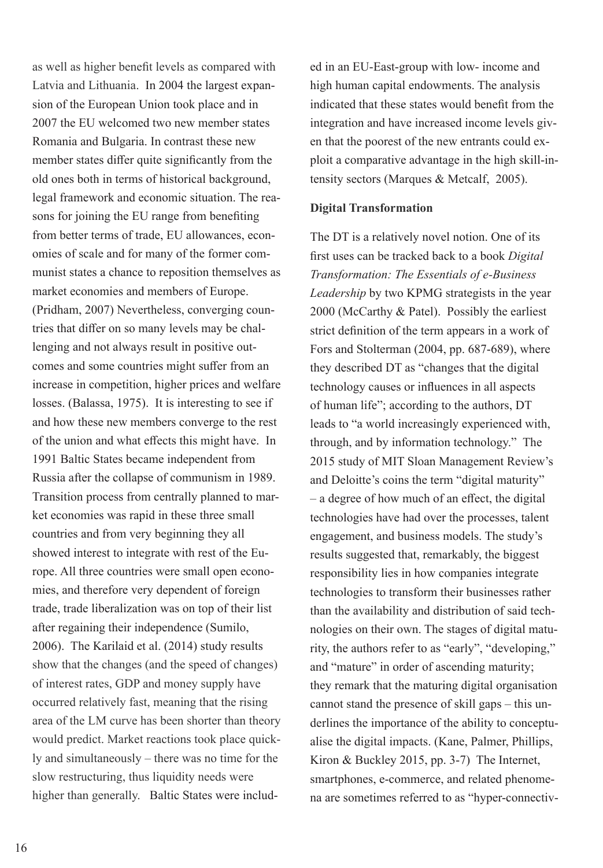as well as higher benefit levels as compared with Latvia and Lithuania. In 2004 the largest expansion of the European Union took place and in 2007 the EU welcomed two new member states Romania and Bulgaria. In contrast these new member states differ quite significantly from the old ones both in terms of historical background, legal framework and economic situation. The reasons for joining the EU range from benefiting from better terms of trade, EU allowances, economies of scale and for many of the former communist states a chance to reposition themselves as market economies and members of Europe. (Pridham, 2007) Nevertheless, converging countries that differ on so many levels may be challenging and not always result in positive outcomes and some countries might suffer from an increase in competition, higher prices and welfare losses. (Balassa, 1975). It is interesting to see if and how these new members converge to the rest of the union and what effects this might have. In 1991 Baltic States became independent from Russia after the collapse of communism in 1989. Transition process from centrally planned to market economies was rapid in these three small countries and from very beginning they all showed interest to integrate with rest of the Europe. All three countries were small open economies, and therefore very dependent of foreign trade, trade liberalization was on top of their list after regaining their independence (Sumilo, 2006). The Karilaid et al. (2014) study results show that the changes (and the speed of changes) of interest rates, GDP and money supply have occurred relatively fast, meaning that the rising area of the LM curve has been shorter than theory would predict. Market reactions took place quickly and simultaneously – there was no time for the slow restructuring, thus liquidity needs were higher than generally. Baltic States were included in an EU-East-group with low- income and high human capital endowments. The analysis indicated that these states would benefit from the integration and have increased income levels given that the poorest of the new entrants could exploit a comparative advantage in the high skill-intensity sectors (Marques & Metcalf, 2005).

## **Digital Transformation**

The DT is a relatively novel notion. One of its first uses can be tracked back to a book *Digital Transformation: The Essentials of e-Business Leadership* by two KPMG strategists in the year 2000 (McCarthy & Patel). Possibly the earliest strict definition of the term appears in a work of Fors and Stolterman (2004, pp. 687-689), where they described DT as "changes that the digital technology causes or influences in all aspects of human life"; according to the authors, DT leads to "a world increasingly experienced with, through, and by information technology." The 2015 study of MIT Sloan Management Review's and Deloitte's coins the term "digital maturity" – a degree of how much of an effect, the digital technologies have had over the processes, talent engagement, and business models. The study's results suggested that, remarkably, the biggest responsibility lies in how companies integrate technologies to transform their businesses rather than the availability and distribution of said technologies on their own. The stages of digital maturity, the authors refer to as "early", "developing," and "mature" in order of ascending maturity; they remark that the maturing digital organisation cannot stand the presence of skill gaps – this underlines the importance of the ability to conceptualise the digital impacts. (Kane, Palmer, Phillips, Kiron & Buckley 2015, pp. 3-7) The Internet, smartphones, e-commerce, and related phenomena are sometimes referred to as "hyper-connectiv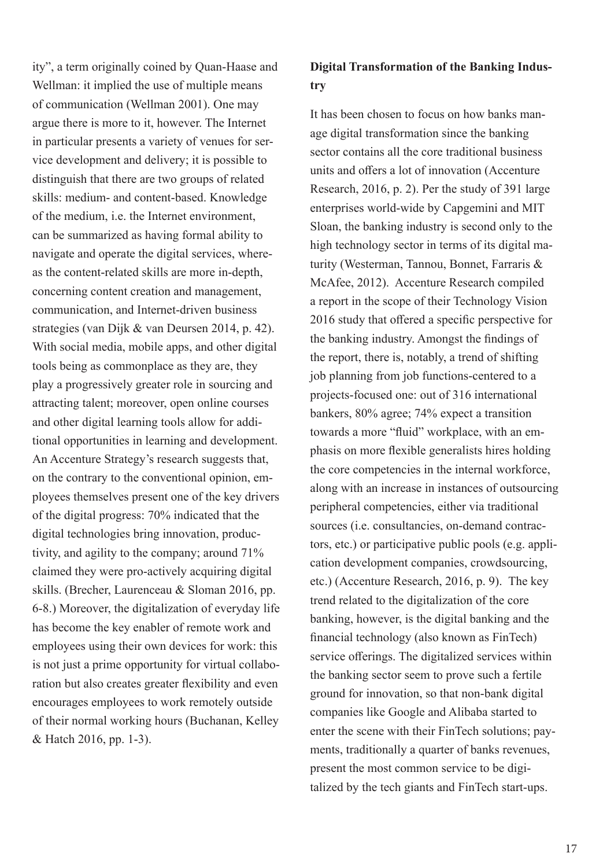ity", a term originally coined by Quan-Haase and Wellman: it implied the use of multiple means of communication (Wellman 2001). One may argue there is more to it, however. The Internet in particular presents a variety of venues for service development and delivery; it is possible to distinguish that there are two groups of related skills: medium- and content-based. Knowledge of the medium, i.e. the Internet environment, can be summarized as having formal ability to navigate and operate the digital services, whereas the content-related skills are more in-depth, concerning content creation and management, communication, and Internet-driven business strategies (van Dijk & van Deursen 2014, p. 42). With social media, mobile apps, and other digital tools being as commonplace as they are, they play a progressively greater role in sourcing and attracting talent; moreover, open online courses and other digital learning tools allow for additional opportunities in learning and development. An Accenture Strategy's research suggests that, on the contrary to the conventional opinion, employees themselves present one of the key drivers of the digital progress: 70% indicated that the digital technologies bring innovation, productivity, and agility to the company; around 71% claimed they were pro-actively acquiring digital skills. (Brecher, Laurenceau & Sloman 2016, pp. 6-8.) Moreover, the digitalization of everyday life has become the key enabler of remote work and employees using their own devices for work: this is not just a prime opportunity for virtual collaboration but also creates greater flexibility and even encourages employees to work remotely outside of their normal working hours (Buchanan, Kelley & Hatch 2016, pp. 1-3).

# **Digital Transformation of the Banking Industry**

It has been chosen to focus on how banks manage digital transformation since the banking sector contains all the core traditional business units and offers a lot of innovation (Accenture Research, 2016, p. 2). Per the study of 391 large enterprises world-wide by Capgemini and MIT Sloan, the banking industry is second only to the high technology sector in terms of its digital maturity (Westerman, Tannou, Bonnet, Farraris & McAfee, 2012). Accenture Research compiled a report in the scope of their Technology Vision 2016 study that offered a specific perspective for the banking industry. Amongst the findings of the report, there is, notably, a trend of shifting job planning from job functions-centered to a projects-focused one: out of 316 international bankers, 80% agree; 74% expect a transition towards a more "fluid" workplace, with an emphasis on more flexible generalists hires holding the core competencies in the internal workforce, along with an increase in instances of outsourcing peripheral competencies, either via traditional sources (i.e. consultancies, on-demand contractors, etc.) or participative public pools (e.g. application development companies, crowdsourcing, etc.) (Accenture Research, 2016, p. 9). The key trend related to the digitalization of the core banking, however, is the digital banking and the financial technology (also known as FinTech) service offerings. The digitalized services within the banking sector seem to prove such a fertile ground for innovation, so that non-bank digital companies like Google and Alibaba started to enter the scene with their FinTech solutions; payments, traditionally a quarter of banks revenues, present the most common service to be digitalized by the tech giants and FinTech start-ups.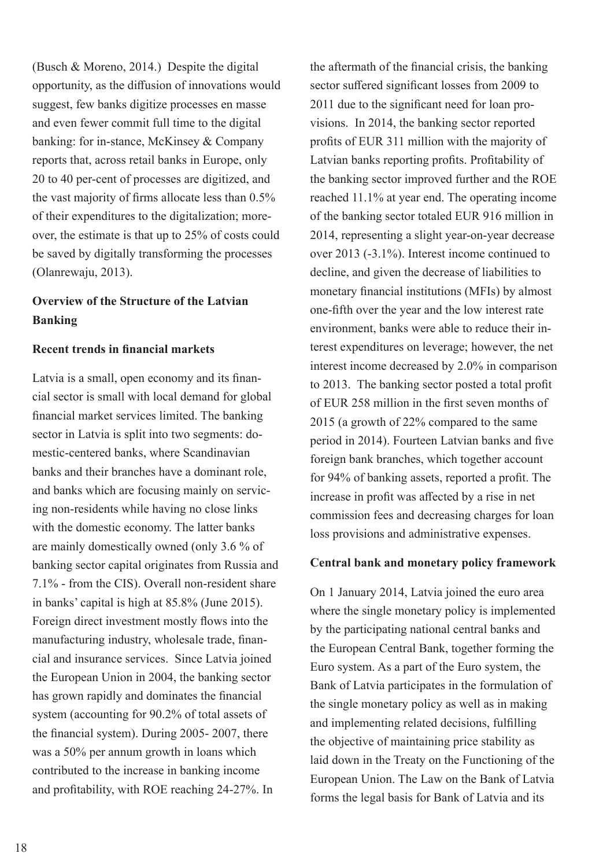(Busch & Moreno, 2014.) Despite the digital opportunity, as the diffusion of innovations would suggest, few banks digitize processes en masse and even fewer commit full time to the digital banking: for in-stance, McKinsey & Company reports that, across retail banks in Europe, only 20 to 40 per-cent of processes are digitized, and the vast majority of firms allocate less than 0.5% of their expenditures to the digitalization; moreover, the estimate is that up to 25% of costs could be saved by digitally transforming the processes (Olanrewaju, 2013).

# **Overview of the Structure of the Latvian Banking**

## **Recent trends in financial markets**

Latvia is a small, open economy and its financial sector is small with local demand for global financial market services limited. The banking sector in Latvia is split into two segments: domestic-centered banks, where Scandinavian banks and their branches have a dominant role, and banks which are focusing mainly on servicing non-residents while having no close links with the domestic economy. The latter banks are mainly domestically owned (only 3.6 % of banking sector capital originates from Russia and 7.1% - from the CIS). Overall non-resident share in banks' capital is high at 85.8% (June 2015). Foreign direct investment mostly flows into the manufacturing industry, wholesale trade, financial and insurance services. Since Latvia joined the European Union in 2004, the banking sector has grown rapidly and dominates the financial system (accounting for 90.2% of total assets of the financial system). During 2005- 2007, there was a 50% per annum growth in loans which contributed to the increase in banking income and profitability, with ROE reaching 24-27%. In

the aftermath of the financial crisis, the banking sector suffered significant losses from 2009 to 2011 due to the significant need for loan provisions. In 2014, the banking sector reported profits of EUR 311 million with the majority of Latvian banks reporting profits. Profitability of the banking sector improved further and the ROE reached 11.1% at year end. The operating income of the banking sector totaled EUR 916 million in 2014, representing a slight year-on-year decrease over 2013 (-3.1%). Interest income continued to decline, and given the decrease of liabilities to monetary financial institutions (MFIs) by almost one-fifth over the year and the low interest rate environment, banks were able to reduce their interest expenditures on leverage; however, the net interest income decreased by 2.0% in comparison to 2013. The banking sector posted a total profit of EUR 258 million in the first seven months of 2015 (a growth of 22% compared to the same period in 2014). Fourteen Latvian banks and five foreign bank branches, which together account for 94% of banking assets, reported a profit. The increase in profit was affected by a rise in net commission fees and decreasing charges for loan loss provisions and administrative expenses.

## **Central bank and monetary policy framework**

On 1 January 2014, Latvia joined the euro area where the single monetary policy is implemented by the participating national central banks and the European Central Bank, together forming the Euro system. As a part of the Euro system, the Bank of Latvia participates in the formulation of the single monetary policy as well as in making and implementing related decisions, fulfilling the objective of maintaining price stability as laid down in the Treaty on the Functioning of the European Union. The Law on the Bank of Latvia forms the legal basis for Bank of Latvia and its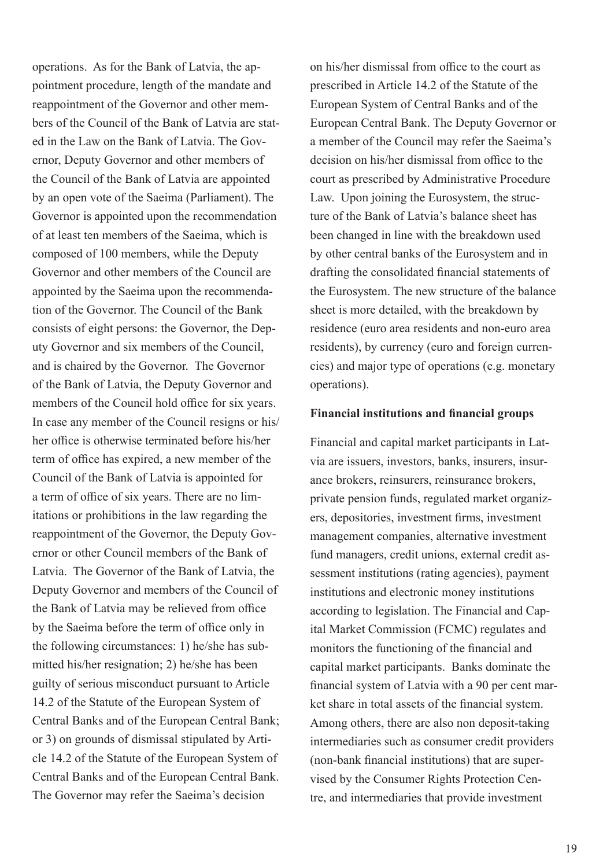operations. As for the Bank of Latvia, the appointment procedure, length of the mandate and reappointment of the Governor and other members of the Council of the Bank of Latvia are stated in the Law on the Bank of Latvia. The Governor, Deputy Governor and other members of the Council of the Bank of Latvia are appointed by an open vote of the Saeima (Parliament). The Governor is appointed upon the recommendation of at least ten members of the Saeima, which is composed of 100 members, while the Deputy Governor and other members of the Council are appointed by the Saeima upon the recommendation of the Governor. The Council of the Bank consists of eight persons: the Governor, the Deputy Governor and six members of the Council, and is chaired by the Governor. The Governor of the Bank of Latvia, the Deputy Governor and members of the Council hold office for six years. In case any member of the Council resigns or his/ her office is otherwise terminated before his/her term of office has expired, a new member of the Council of the Bank of Latvia is appointed for a term of office of six years. There are no limitations or prohibitions in the law regarding the reappointment of the Governor, the Deputy Governor or other Council members of the Bank of Latvia. The Governor of the Bank of Latvia, the Deputy Governor and members of the Council of the Bank of Latvia may be relieved from office by the Saeima before the term of office only in the following circumstances: 1) he/she has submitted his/her resignation; 2) he/she has been guilty of serious misconduct pursuant to Article 14.2 of the Statute of the European System of Central Banks and of the European Central Bank; or 3) on grounds of dismissal stipulated by Article 14.2 of the Statute of the European System of Central Banks and of the European Central Bank. The Governor may refer the Saeima's decision

on his/her dismissal from office to the court as prescribed in Article 14.2 of the Statute of the European System of Central Banks and of the European Central Bank. The Deputy Governor or a member of the Council may refer the Saeima's decision on his/her dismissal from office to the court as prescribed by Administrative Procedure Law. Upon joining the Eurosystem, the structure of the Bank of Latvia's balance sheet has been changed in line with the breakdown used by other central banks of the Eurosystem and in drafting the consolidated financial statements of the Eurosystem. The new structure of the balance sheet is more detailed, with the breakdown by residence (euro area residents and non-euro area residents), by currency (euro and foreign currencies) and major type of operations (e.g. monetary operations).

#### **Financial institutions and financial groups**

Financial and capital market participants in Latvia are issuers, investors, banks, insurers, insurance brokers, reinsurers, reinsurance brokers, private pension funds, regulated market organizers, depositories, investment firms, investment management companies, alternative investment fund managers, credit unions, external credit assessment institutions (rating agencies), payment institutions and electronic money institutions according to legislation. The Financial and Capital Market Commission (FCMC) regulates and monitors the functioning of the financial and capital market participants. Banks dominate the financial system of Latvia with a 90 per cent market share in total assets of the financial system. Among others, there are also non deposit-taking intermediaries such as consumer credit providers (non-bank financial institutions) that are supervised by the Consumer Rights Protection Centre, and intermediaries that provide investment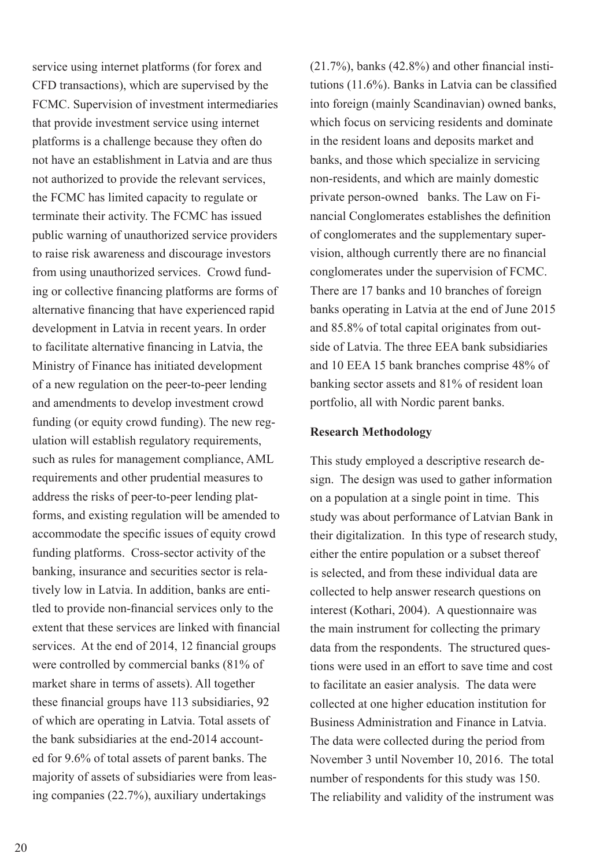service using internet platforms (for forex and CFD transactions), which are supervised by the FCMC. Supervision of investment intermediaries that provide investment service using internet platforms is a challenge because they often do not have an establishment in Latvia and are thus not authorized to provide the relevant services, the FCMC has limited capacity to regulate or terminate their activity. The FCMC has issued public warning of unauthorized service providers to raise risk awareness and discourage investors from using unauthorized services. Crowd funding or collective financing platforms are forms of alternative financing that have experienced rapid development in Latvia in recent years. In order to facilitate alternative financing in Latvia, the Ministry of Finance has initiated development of a new regulation on the peer-to-peer lending and amendments to develop investment crowd funding (or equity crowd funding). The new regulation will establish regulatory requirements, such as rules for management compliance, AML requirements and other prudential measures to address the risks of peer-to-peer lending platforms, and existing regulation will be amended to accommodate the specific issues of equity crowd funding platforms. Cross-sector activity of the banking, insurance and securities sector is relatively low in Latvia. In addition, banks are entitled to provide non-financial services only to the extent that these services are linked with financial services. At the end of 2014, 12 financial groups were controlled by commercial banks (81% of market share in terms of assets). All together these financial groups have 113 subsidiaries, 92 of which are operating in Latvia. Total assets of the bank subsidiaries at the end-2014 accounted for 9.6% of total assets of parent banks. The majority of assets of subsidiaries were from leasing companies (22.7%), auxiliary undertakings

(21.7%), banks (42.8%) and other financial institutions (11.6%). Banks in Latvia can be classified into foreign (mainly Scandinavian) owned banks, which focus on servicing residents and dominate in the resident loans and deposits market and banks, and those which specialize in servicing non-residents, and which are mainly domestic private person-owned banks. The Law on Financial Conglomerates establishes the definition of conglomerates and the supplementary supervision, although currently there are no financial conglomerates under the supervision of FCMC. There are 17 banks and 10 branches of foreign banks operating in Latvia at the end of June 2015 and 85.8% of total capital originates from outside of Latvia. The three EEA bank subsidiaries and 10 EEA 15 bank branches comprise 48% of banking sector assets and 81% of resident loan portfolio, all with Nordic parent banks.

## **Research Methodology**

This study employed a descriptive research design. The design was used to gather information on a population at a single point in time. This study was about performance of Latvian Bank in their digitalization. In this type of research study, either the entire population or a subset thereof is selected, and from these individual data are collected to help answer research questions on interest (Kothari, 2004). A questionnaire was the main instrument for collecting the primary data from the respondents. The structured questions were used in an effort to save time and cost to facilitate an easier analysis. The data were collected at one higher education institution for Business Administration and Finance in Latvia. The data were collected during the period from November 3 until November 10, 2016. The total number of respondents for this study was 150. The reliability and validity of the instrument was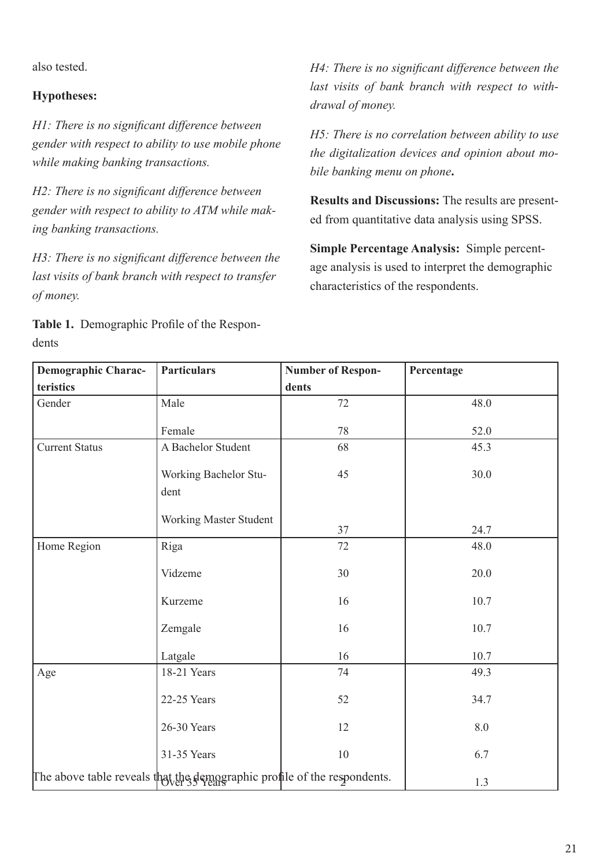also tested.

## **Hypotheses:**

*H1: There is no significant difference between gender with respect to ability to use mobile phone while making banking transactions.*

*H2: There is no significant difference between gender with respect to ability to ATM while making banking transactions.*

*H3: There is no significant difference between the last visits of bank branch with respect to transfer of money.*

**Table 1.** Demographic Profile of the Respondents

*H4: There is no significant difference between the last visits of bank branch with respect to withdrawal of money.*

*H5: There is no correlation between ability to use the digitalization devices and opinion about mobile banking menu on phone***.**

**Results and Discussions:** The results are presented from quantitative data analysis using SPSS.

**Simple Percentage Analysis:** Simple percentage analysis is used to interpret the demographic characteristics of the respondents.

| <b>Demographic Charac-</b> | <b>Particulars</b>                                                       | <b>Number of Respon-</b> | Percentage |
|----------------------------|--------------------------------------------------------------------------|--------------------------|------------|
| teristics                  |                                                                          | dents                    |            |
| Gender                     | Male                                                                     | 72                       | 48.0       |
|                            | Female                                                                   | 78                       | 52.0       |
| <b>Current Status</b>      | A Bachelor Student                                                       | 68                       | 45.3       |
|                            | Working Bachelor Stu-<br>dent                                            | 45                       | 30.0       |
|                            | Working Master Student                                                   | 37                       | 24.7       |
| Home Region                | Riga                                                                     | 72                       | 48.0       |
|                            | Vidzeme                                                                  | 30                       | 20.0       |
|                            | Kurzeme                                                                  | 16                       | 10.7       |
|                            | Zemgale                                                                  | 16                       | 10.7       |
|                            | Latgale                                                                  | 16                       | 10.7       |
| Age                        | 18-21 Years                                                              | 74                       | 49.3       |
|                            | 22-25 Years                                                              | 52                       | 34.7       |
|                            | 26-30 Years                                                              | 12                       | 8.0        |
|                            | 31-35 Years                                                              | 10                       | 6.7        |
|                            | The above table reveals that the demographic profile of the respondents. |                          | 1.3        |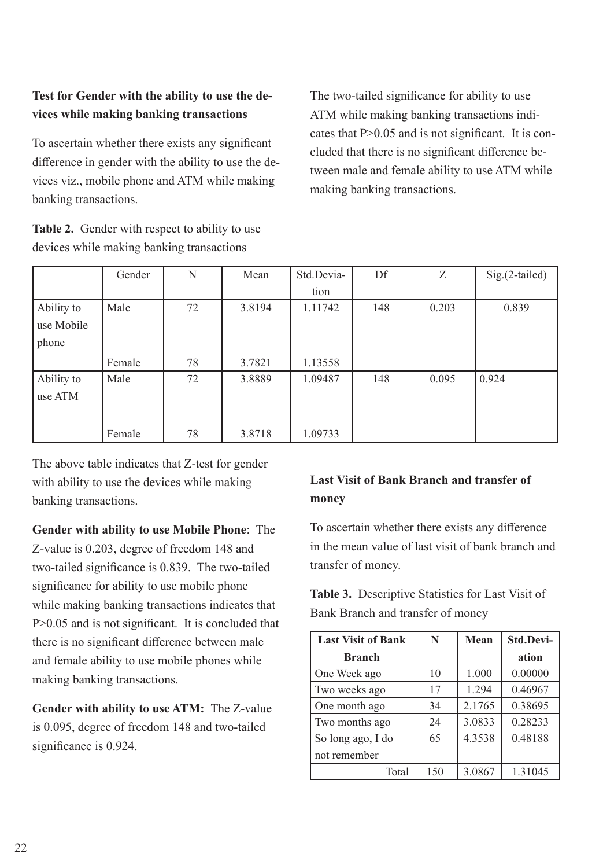# **Test for Gender with the ability to use the devices while making banking transactions**

To ascertain whether there exists any significant difference in gender with the ability to use the devices viz., mobile phone and ATM while making banking transactions.

**Table 2.** Gender with respect to ability to use devices while making banking transactions

The two-tailed significance for ability to use ATM while making banking transactions indicates that P>0.05 and is not significant. It is concluded that there is no significant difference between male and female ability to use ATM while making banking transactions.

|            | Gender | N  | Mean   | Std.Devia- | Df  | Z     | $Sig.(2-tailed)$ |
|------------|--------|----|--------|------------|-----|-------|------------------|
|            |        |    |        | tion       |     |       |                  |
| Ability to | Male   | 72 | 3.8194 | 1.11742    | 148 | 0.203 | 0.839            |
| use Mobile |        |    |        |            |     |       |                  |
| phone      |        |    |        |            |     |       |                  |
|            | Female | 78 | 3.7821 | 1.13558    |     |       |                  |
| Ability to | Male   | 72 | 3.8889 | 1.09487    | 148 | 0.095 | 0.924            |
| use ATM    |        |    |        |            |     |       |                  |
|            |        |    |        |            |     |       |                  |
|            | Female | 78 | 3.8718 | 1.09733    |     |       |                  |

The above table indicates that Z-test for gender with ability to use the devices while making banking transactions.

**Gender with ability to use Mobile Phone**: The Z-value is 0.203, degree of freedom 148 and two-tailed significance is 0.839. The two-tailed significance for ability to use mobile phone while making banking transactions indicates that P>0.05 and is not significant. It is concluded that there is no significant difference between male and female ability to use mobile phones while making banking transactions.

**Gender with ability to use ATM:** The Z-value is 0.095, degree of freedom 148 and two-tailed significance is 0.924.

# **Last Visit of Bank Branch and transfer of money**

To ascertain whether there exists any difference in the mean value of last visit of bank branch and transfer of money.

**Table 3.** Descriptive Statistics for Last Visit of Bank Branch and transfer of money

| <b>Last Visit of Bank</b> | N   | <b>Mean</b> | Std.Devi- |
|---------------------------|-----|-------------|-----------|
| <b>Branch</b>             |     |             | ation     |
| One Week ago              | 10  | 1.000       | 0.00000   |
| Two weeks ago             | 17  | 1.294       | 0.46967   |
| One month ago             | 34  | 2.1765      | 0.38695   |
| Two months ago            | 24  | 3.0833      | 0.28233   |
| So long ago, I do         | 65  | 4.3538      | 0.48188   |
| not remember              |     |             |           |
| Total                     | 150 | 3.0867      | 1.31045   |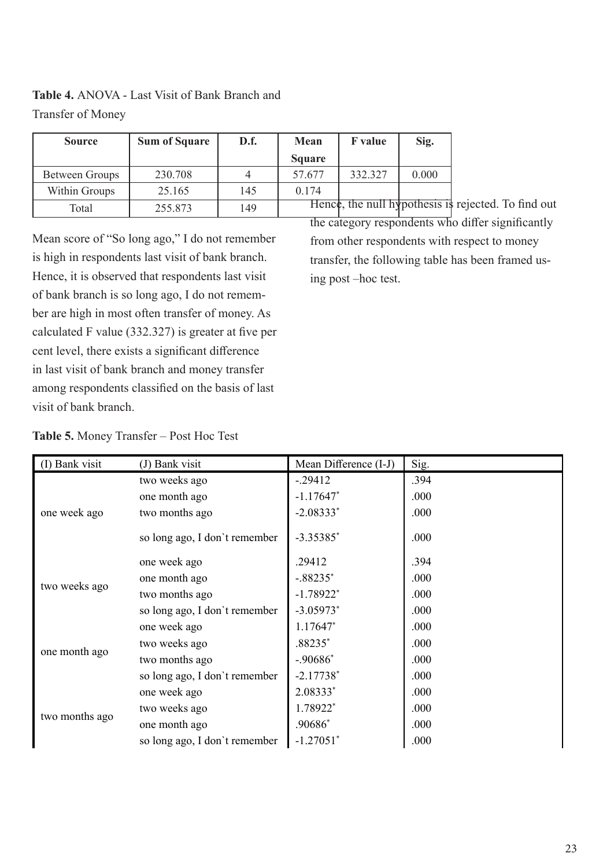**Table 4.** ANOVA - Last Visit of Bank Branch and Transfer of Money

| <b>Source</b>  | <b>Sum of Square</b> | D.f. | <b>Mean</b>   | <b>F</b> value                | Sig.  |
|----------------|----------------------|------|---------------|-------------------------------|-------|
|                |                      |      | <b>Square</b> |                               |       |
| Between Groups | 230.708              |      | 57.677        | 332.327                       | 0.000 |
| Within Groups  | 25.165               | 145  | 0.174         |                               |       |
| Total          | 255.873              | 149  |               | Hence, the null hypothesis is |       |

Mean score of "So long ago," I do not remember is high in respondents last visit of bank branch. Hence, it is observed that respondents last visit of bank branch is so long ago, I do not remember are high in most often transfer of money. As calculated F value (332.327) is greater at five per cent level, there exists a significant difference in last visit of bank branch and money transfer among respondents classified on the basis of last visit of bank branch.

rejected. To find out the category respondents who differ significantly from other respondents with respect to money transfer, the following table has been framed using post –hoc test.

| Table 5. Money Transfer - Post Hoc Test |  |  |  |
|-----------------------------------------|--|--|--|
|-----------------------------------------|--|--|--|

| (I) Bank visit | (J) Bank visit                | Mean Difference (I-J)   | Sig. |
|----------------|-------------------------------|-------------------------|------|
|                | two weeks ago                 | $-.29412$               | .394 |
|                | one month ago                 | $-1.17647$ *            | .000 |
| one week ago   | two months ago                | $-2.08333*$             | .000 |
|                | so long ago, I don't remember | $-3.35385$ *            | .000 |
|                | one week ago                  | .29412                  | .394 |
|                | one month ago                 | $-.88235*$              | .000 |
| two weeks ago  | two months ago                | $-1.78922*$             | .000 |
|                | so long ago, I don't remember | $-3.05973*$             | .000 |
|                | one week ago                  | 1.17647*                | .000 |
|                | two weeks ago                 | .88235*                 | .000 |
| one month ago  | two months ago                | $-.90686*$              | .000 |
|                | so long ago, I don't remember | $-2.17738*$             | .000 |
|                | one week ago                  | 2.08333*                | .000 |
|                | two weeks ago                 | 1.78922*                | .000 |
| two months ago | one month ago                 | .90686*                 | .000 |
|                | so long ago, I don't remember | $-1.27051$ <sup>*</sup> | .000 |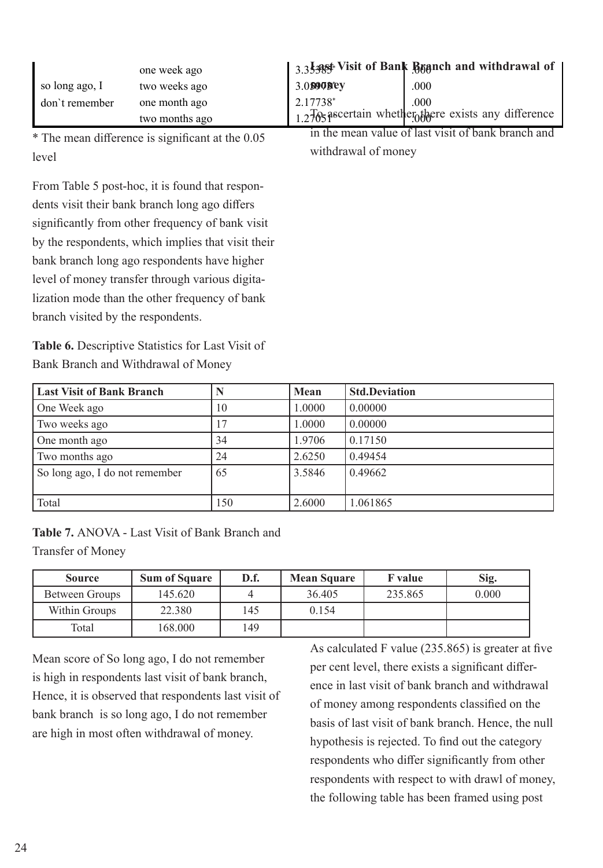|                | one week ago   |                  | $\int$ 3.3 $\frac{1}{3}$ 3.3 $\frac{1}{3}$ Visit of Bank B <sub>6</sub> anch and withdrawal of |
|----------------|----------------|------------------|------------------------------------------------------------------------------------------------|
| so long ago, I | two weeks ago  | <b>3.0590Bey</b> | .000                                                                                           |
| don't remember | one month ago  | $2.17738*$       | .000                                                                                           |
|                | two months ago |                  | $1.2765$ ascertain whether the exists any difference                                           |

\* The mean difference is significant at the 0.05 level

From Table 5 post-hoc, it is found that respondents visit their bank branch long ago differs significantly from other frequency of bank visit by the respondents, which implies that visit their bank branch long ago respondents have higher level of money transfer through various digitalization mode than the other frequency of bank branch visited by the respondents.

**Table 6.** Descriptive Statistics for Last Visit of Bank Branch and Withdrawal of Money

| in the mean value of last visit of bank branch and |  |  |  |  |
|----------------------------------------------------|--|--|--|--|
| withdrawal of money                                |  |  |  |  |

| <b>Last Visit of Bank Branch</b> | N   | Mean   | <b>Std.Deviation</b> |
|----------------------------------|-----|--------|----------------------|
| One Week ago                     | 10  | 1.0000 | 0.00000              |
| Two weeks ago                    | 17  | 1.0000 | 0.00000              |
| One month ago                    | 34  | 1.9706 | 0.17150              |
| Two months ago                   | 24  | 2.6250 | 0.49454              |
| So long ago, I do not remember   | 65  | 3.5846 | 0.49662              |
| Total                            | 150 | 2.6000 | 1.061865             |

# **Table 7.** ANOVA - Last Visit of Bank Branch and

Transfer of Money

| <b>Source</b>  | <b>Sum of Square</b> | D.f. | <b>Mean Square</b> | <b>F</b> value | Sig.  |
|----------------|----------------------|------|--------------------|----------------|-------|
| Between Groups | 145.620              |      | 36.405             | 235.865        | 0.000 |
| Within Groups  | 22.380               | 145  | 0.154              |                |       |
| Total          | 168.000              | 149  |                    |                |       |

Mean score of So long ago, I do not remember is high in respondents last visit of bank branch, Hence, it is observed that respondents last visit of bank branch is so long ago, I do not remember are high in most often withdrawal of money.

As calculated F value (235.865) is greater at five per cent level, there exists a significant difference in last visit of bank branch and withdrawal of money among respondents classified on the basis of last visit of bank branch. Hence, the null hypothesis is rejected. To find out the category respondents who differ significantly from other respondents with respect to with drawl of money, the following table has been framed using post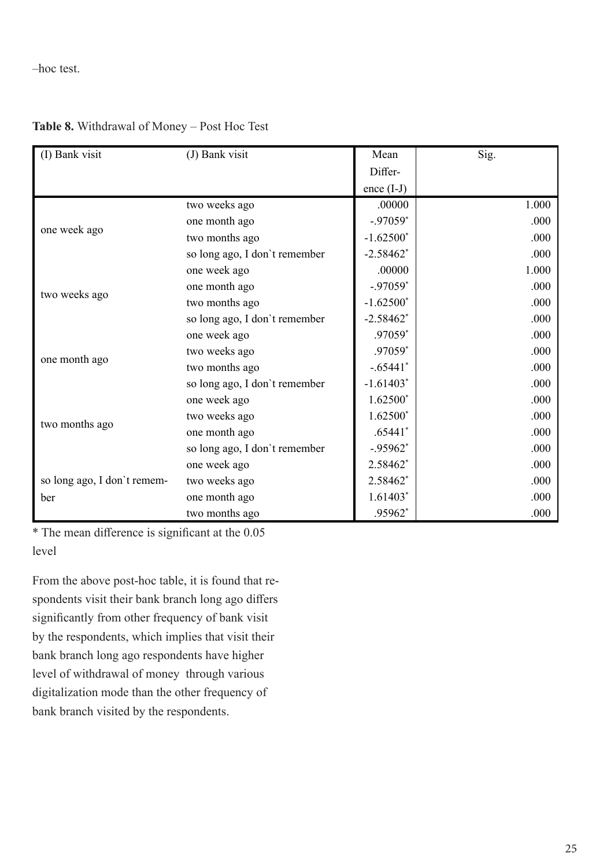–hoc test.

| (I) Bank visit              | (J) Bank visit                | Mean         | Sig.  |
|-----------------------------|-------------------------------|--------------|-------|
|                             |                               | Differ-      |       |
|                             |                               | ence $(I-J)$ |       |
|                             | two weeks ago                 | .00000       | 1.000 |
|                             | one month ago                 | $-.97059*$   | .000  |
| one week ago                | two months ago                | $-1.62500*$  | .000  |
|                             | so long ago, I don't remember | $-2.58462$ * | .000  |
|                             | one week ago                  | .00000       | 1.000 |
|                             | one month ago                 | $-.97059*$   | .000  |
| two weeks ago               | two months ago                | $-1.62500*$  | .000  |
|                             | so long ago, I don't remember | $-2.58462*$  | .000  |
|                             | one week ago                  | .97059*      | .000  |
|                             | two weeks ago                 | .97059*      | .000  |
| one month ago               | two months ago                | $-.65441*$   | .000  |
|                             | so long ago, I don't remember | $-1.61403*$  | .000  |
|                             | one week ago                  | $1.62500*$   | .000  |
|                             | two weeks ago                 | 1.62500*     | .000  |
| two months ago              | one month ago                 | $.65441*$    | .000  |
|                             | so long ago, I don't remember | $-0.95962$ * | .000  |
|                             | one week ago                  | 2.58462*     | .000  |
| so long ago, I don't remem- | two weeks ago                 | 2.58462*     | .000  |
| ber                         | one month ago                 | 1.61403*     | .000  |
|                             | two months ago                | .95962*      | .000  |

# **Table 8.** Withdrawal of Money – Post Hoc Test

\* The mean difference is significant at the 0.05 level

From the above post-hoc table, it is found that respondents visit their bank branch long ago differs significantly from other frequency of bank visit by the respondents, which implies that visit their bank branch long ago respondents have higher level of withdrawal of money through various digitalization mode than the other frequency of bank branch visited by the respondents.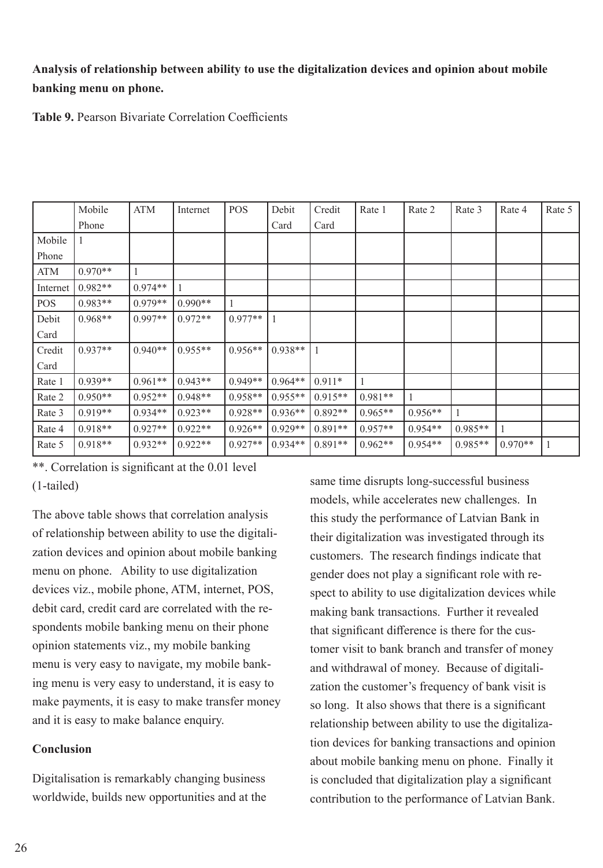# **Analysis of relationship between ability to use the digitalization devices and opinion about mobile banking menu on phone.**

**Table 9.** Pearson Bivariate Correlation Coefficients

|            | Mobile    | <b>ATM</b> | Internet  | <b>POS</b> | Debit     | Credit    | Rate 1    | Rate 2    | Rate 3    | Rate 4    | Rate 5 |
|------------|-----------|------------|-----------|------------|-----------|-----------|-----------|-----------|-----------|-----------|--------|
|            | Phone     |            |           |            | Card      | Card      |           |           |           |           |        |
| Mobile     |           |            |           |            |           |           |           |           |           |           |        |
| Phone      |           |            |           |            |           |           |           |           |           |           |        |
| ATM        | $0.970**$ | 1          |           |            |           |           |           |           |           |           |        |
| Internet   | $0.982**$ | $0.974**$  |           |            |           |           |           |           |           |           |        |
| <b>POS</b> | $0.983**$ | $0.979**$  | $0.990**$ | 1          |           |           |           |           |           |           |        |
| Debit      | $0.968**$ | $0.997**$  | $0.972**$ | $0.977**$  |           |           |           |           |           |           |        |
| Card       |           |            |           |            |           |           |           |           |           |           |        |
| Credit     | $0.937**$ | $0.940**$  | $0.955**$ | $0.956**$  | $0.938**$ |           |           |           |           |           |        |
| Card       |           |            |           |            |           |           |           |           |           |           |        |
| Rate 1     | $0.939**$ | $0.961**$  | $0.943**$ | $0.949**$  | $0.964**$ | $0.911*$  |           |           |           |           |        |
| Rate 2     | $0.950**$ | $0.952**$  | $0.948**$ | $0.958**$  | $0.955**$ | $0.915**$ | $0.981**$ |           |           |           |        |
| Rate 3     | $0.919**$ | $0.934**$  | $0.923**$ | $0.928**$  | $0.936**$ | $0.892**$ | $0.965**$ | $0.956**$ |           |           |        |
| Rate 4     | $0.918**$ | $0.927**$  | $0.922**$ | $0.926**$  | $0.929**$ | $0.891**$ | $0.957**$ | $0.954**$ | $0.985**$ | 1         |        |
| Rate 5     | $0.918**$ | $0.932**$  | $0.922**$ | $0.927**$  | $0.934**$ | $0.891**$ | $0.962**$ | $0.954**$ | $0.985**$ | $0.970**$ |        |

\*\*. Correlation is significant at the 0.01 level (1-tailed)

The above table shows that correlation analysis of relationship between ability to use the digitalization devices and opinion about mobile banking menu on phone. Ability to use digitalization devices viz., mobile phone, ATM, internet, POS, debit card, credit card are correlated with the respondents mobile banking menu on their phone opinion statements viz., my mobile banking menu is very easy to navigate, my mobile banking menu is very easy to understand, it is easy to make payments, it is easy to make transfer money and it is easy to make balance enquiry.

## **Conclusion**

Digitalisation is remarkably changing business worldwide, builds new opportunities and at the same time disrupts long-successful business models, while accelerates new challenges. In this study the performance of Latvian Bank in their digitalization was investigated through its customers. The research findings indicate that gender does not play a significant role with respect to ability to use digitalization devices while making bank transactions. Further it revealed that significant difference is there for the customer visit to bank branch and transfer of money and withdrawal of money. Because of digitalization the customer's frequency of bank visit is so long. It also shows that there is a significant relationship between ability to use the digitalization devices for banking transactions and opinion about mobile banking menu on phone. Finally it is concluded that digitalization play a significant contribution to the performance of Latvian Bank.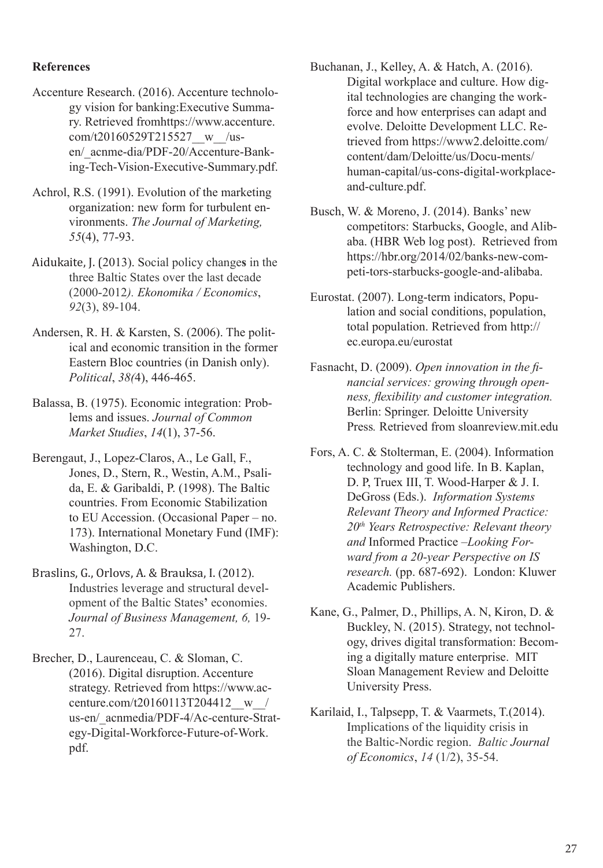## **References**

- Accenture Research. (2016). Accenture technology vision for banking:Executive Summary. Retrieved fromhttps://www.accenture. com/t20160529T215527\_\_w\_\_/usen/\_acnme-dia/PDF-20/Accenture-Banking-Tech-Vision-Executive-Summary.pdf.
- Achrol, R.S. (1991). Evolution of the marketing organization: new form for turbulent environments. *The Journal of Marketing, 55*(4), 77-93.
- Aidukaite, J. (2013). Social policy change**s** in the three Baltic States over the last decade (2000-2012*). Ekonomika / Economics*, *92*(3), 89-104.
- Andersen, R. H. & Karsten, S. (2006). The political and economic transition in the former Eastern Bloc countries (in Danish only). *Political*, *38(*4), 446-465.
- Balassa, B. (1975). Economic integration: Problems and issues. *Journal of Common Market Studies*, *14*(1), 37-56.
- Berengaut, J., Lopez-Claros, A., Le Gall, F., Jones, D., Stern, R., Westin, A.M., Psalida, E. & Garibaldi, P. (1998). The Baltic countries. From Economic Stabilization to EU Accession. (Occasional Paper – no. 173). International Monetary Fund (IMF): Washington, D.C.
- Braslins, G., Orlovs, A. & Brauksa, I. (2012). Industries leverage and structural development of the Baltic States**'** economies. *Journal of Business Management, 6,* 19- 27.
- Brecher, D., Laurenceau, C. & Sloman, C. (2016). Digital disruption. Accenture strategy. Retrieved from https://www.accenture.com/t20160113T204412\_\_w\_\_/ us-en/\_acnmedia/PDF-4/Ac-centure-Strategy-Digital-Workforce-Future-of-Work. pdf.
- Buchanan, J., Kelley, A. & Hatch, A. (2016). Digital workplace and culture. How digital technologies are changing the workforce and how enterprises can adapt and evolve. Deloitte Development LLC. Retrieved from https://www2.deloitte.com/ content/dam/Deloitte/us/Docu-ments/ human-capital/us-cons-digital-workplaceand-culture.pdf.
- Busch, W. & Moreno, J. (2014). Banks' new competitors: Starbucks, Google, and Alibaba. (HBR Web log post). Retrieved from https://hbr.org/2014/02/banks-new-competi-tors-starbucks-google-and-alibaba.
- Eurostat. (2007). Long-term indicators, Population and social conditions, population, total population. Retrieved from http:// ec.europa.eu/eurostat
- Fasnacht, D. (2009). *Open innovation in the financial services: growing through openness, flexibility and customer integration.* Berlin: Springer. Deloitte University Press*.* Retrieved from sloanreview.mit.edu
- Fors, A. C. & Stolterman, E. (2004). Information technology and good life. In B. Kaplan, D. P, Truex III, T. Wood-Harper & J. I. DeGross (Eds.). *Information Systems Relevant Theory and Informed Practice: 20th Years Retrospective: Relevant theory and* Informed Practice –*Looking Forward from a 20-year Perspective on IS research.* (pp. 687-692). London: Kluwer Academic Publishers.
- Kane, G., Palmer, D., Phillips, A. N, Kiron, D. & Buckley, N. (2015). Strategy, not technology, drives digital transformation: Becoming a digitally mature enterprise. MIT Sloan Management Review and Deloitte University Press.
- Karilaid, I., Talpsepp, T. & Vaarmets, T.(2014). Implications of the liquidity crisis in the Baltic-Nordic region. *Baltic Journal of Economics*, *14* (1/2), 35-54.